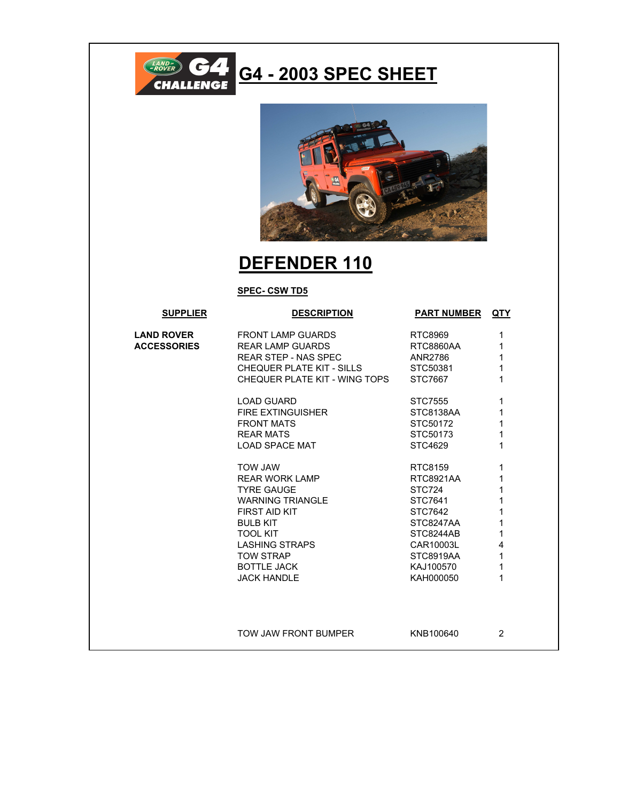

## **G4 - 2003 SPEC SHEET**



## **DEFENDER 110**

## **SPEC- CSW TD5**

| <b>SUPPLIER</b>    | <b>DESCRIPTION</b>            | <b>PART NUMBER QTY</b> |                |
|--------------------|-------------------------------|------------------------|----------------|
| <b>LAND ROVER</b>  | <b>FRONT LAMP GUARDS</b>      | RTC8969                | 1              |
| <b>ACCESSORIES</b> | <b>REAR LAMP GUARDS</b>       | RTC8860AA              | 1              |
|                    | <b>REAR STEP - NAS SPEC</b>   | ANR2786                | 1              |
|                    | CHEQUER PLATE KIT - SILLS     | STC50381               | 1              |
|                    | CHEQUER PLATE KIT - WING TOPS | STC7667                | 1              |
|                    | <b>LOAD GUARD</b>             | STC7555                | 1              |
|                    | <b>FIRE EXTINGUISHER</b>      | STC8138AA              | 1              |
|                    | <b>FRONT MATS</b>             | STC50172               | 1              |
|                    | <b>REAR MATS</b>              | STC50173               | 1              |
|                    | LOAD SPACE MAT                | STC4629                | 1              |
|                    | <b>TOW JAW</b>                | RTC8159                | 1              |
|                    | <b>REAR WORK LAMP</b>         | RTC8921AA              | 1              |
|                    | <b>TYRE GAUGE</b>             | STC724                 | 1              |
|                    | <b>WARNING TRIANGLE</b>       | STC7641                | 1              |
|                    | FIRST AID KIT                 | STC7642                | 1              |
|                    | <b>BULB KIT</b>               | STC8247AA              | 1              |
|                    | <b>TOOL KIT</b>               | STC8244AB              | 1              |
|                    | <b>LASHING STRAPS</b>         | CAR10003L              | 4              |
|                    | <b>TOW STRAP</b>              | STC8919AA              | 1              |
|                    | <b>BOTTLE JACK</b>            | KAJ100570              | 1              |
|                    | <b>JACK HANDLE</b>            | KAH000050              | 1              |
|                    |                               |                        |                |
|                    |                               |                        |                |
|                    | TOW JAW FRONT BUMPER          | KNB100640              | $\overline{2}$ |
|                    |                               |                        |                |